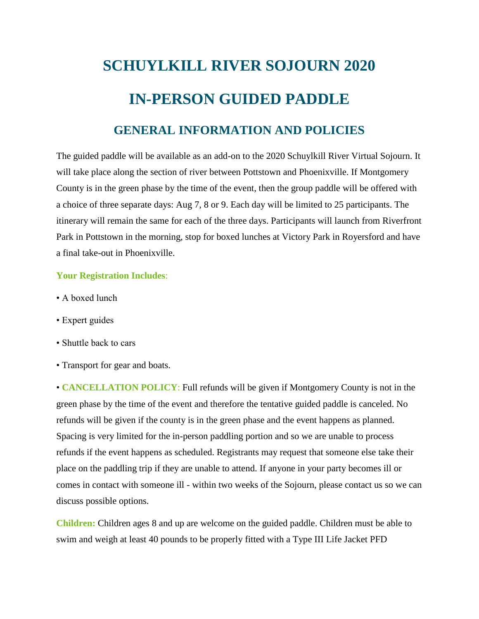## **SCHUYLKILL RIVER SOJOURN 2020 IN-PERSON GUIDED PADDLE**

## **GENERAL INFORMATION AND POLICIES**

The guided paddle will be available as an add-on to the 2020 Schuylkill River Virtual Sojourn. It will take place along the section of river between Pottstown and Phoenixville. If Montgomery County is in the green phase by the time of the event, then the group paddle will be offered with a choice of three separate days: Aug 7, 8 or 9. Each day will be limited to 25 participants. The itinerary will remain the same for each of the three days. Participants will launch from Riverfront Park in Pottstown in the morning, stop for boxed lunches at Victory Park in Royersford and have a final take-out in Phoenixville.

## **Your Registration Includes**:

- A boxed lunch
- Expert guides
- Shuttle back to cars
- Transport for gear and boats.

• **CANCELLATION POLICY**: Full refunds will be given if Montgomery County is not in the green phase by the time of the event and therefore the tentative guided paddle is canceled. No refunds will be given if the county is in the green phase and the event happens as planned. Spacing is very limited for the in-person paddling portion and so we are unable to process refunds if the event happens as scheduled. Registrants may request that someone else take their place on the paddling trip if they are unable to attend. If anyone in your party becomes ill or comes in contact with someone ill - within two weeks of the Sojourn, please contact us so we can discuss possible options.

**Children:** Children ages 8 and up are welcome on the guided paddle. Children must be able to swim and weigh at least 40 pounds to be properly fitted with a Type III Life Jacket PFD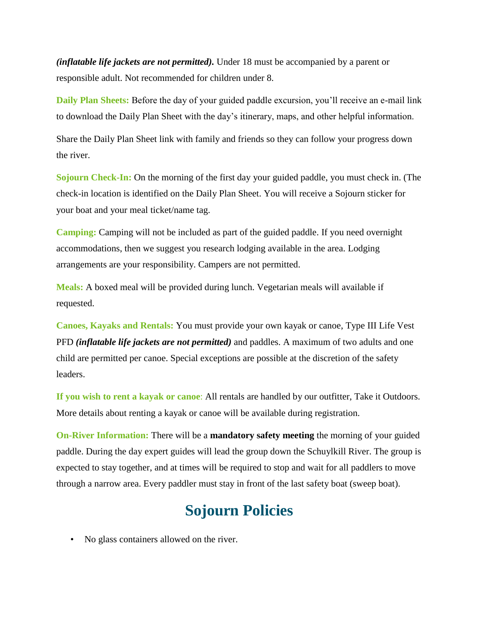*(inflatable life jackets are not permitted).* Under 18 must be accompanied by a parent or responsible adult. Not recommended for children under 8.

**Daily Plan Sheets:** Before the day of your guided paddle excursion, you'll receive an e-mail link to download the Daily Plan Sheet with the day's itinerary, maps, and other helpful information.

Share the Daily Plan Sheet link with family and friends so they can follow your progress down the river.

**Sojourn Check-In:** On the morning of the first day your guided paddle, you must check in. (The check-in location is identified on the Daily Plan Sheet. You will receive a Sojourn sticker for your boat and your meal ticket/name tag.

**Camping:** Camping will not be included as part of the guided paddle. If you need overnight accommodations, then we suggest you research lodging available in the area. Lodging arrangements are your responsibility. Campers are not permitted.

**Meals:** A boxed meal will be provided during lunch. Vegetarian meals will available if requested.

**Canoes, Kayaks and Rentals:** You must provide your own kayak or canoe, Type III Life Vest PFD *(inflatable life jackets are not permitted)* and paddles. A maximum of two adults and one child are permitted per canoe. Special exceptions are possible at the discretion of the safety leaders.

**If you wish to rent a kayak or canoe**: All rentals are handled by our outfitter, Take it Outdoors. More details about renting a kayak or canoe will be available during registration.

**On-River Information:** There will be a **mandatory safety meeting** the morning of your guided paddle. During the day expert guides will lead the group down the Schuylkill River. The group is expected to stay together, and at times will be required to stop and wait for all paddlers to move through a narrow area. Every paddler must stay in front of the last safety boat (sweep boat).

## **Sojourn Policies**

• No glass containers allowed on the river.